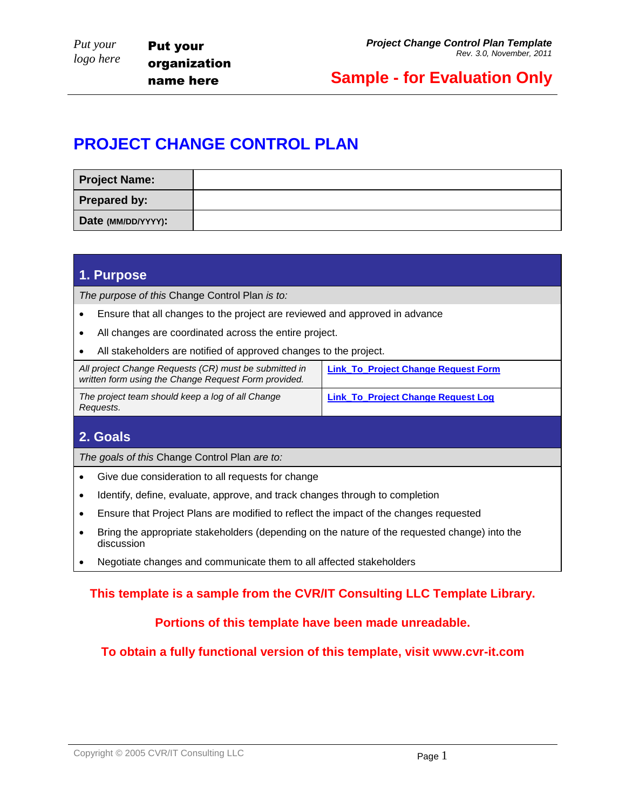## **PROJECT CHANGE CONTROL PLAN**

| <b>Project Name:</b> |  |
|----------------------|--|
| <b>Prepared by:</b>  |  |
| Date (MM/DD/YYYY):   |  |

### **1. Purpose**

*The purpose of this* Change Control Plan *is to:*

- Ensure that all changes to the project are reviewed and approved in advance
- All changes are coordinated across the entire project.
- All stakeholders are notified of approved changes to the project.

| All project Change Requests (CR) must be submitted in<br>written form using the Change Request Form provided. | <b>Link_To_Project Change Request Form</b> |  |
|---------------------------------------------------------------------------------------------------------------|--------------------------------------------|--|
| The project team should keep a log of all Change<br>Reguests.                                                 | <b>Link_To_Project Change Request Log</b>  |  |

## **2. Goals**

*The goals of this* Change Control Plan *are to:* 

- Give due consideration to all requests for change
- Identify, define, evaluate, approve, and track changes through to completion
- Ensure that Project Plans are modified to reflect the impact of the changes requested
- Bring the appropriate stakeholders (depending on the nature of the requested change) into the discussion
- Negotiate changes and communicate them to all affected stakeholders

## **This template is a sample from the CVR/IT Consulting LLC Template Library.**

### **Portions of this template have been made unreadable.**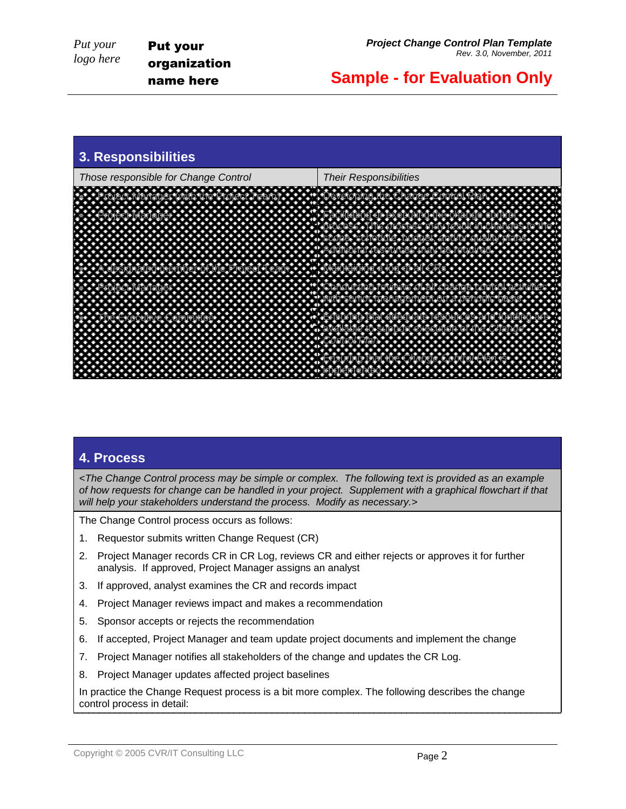

## **4. Process**

*<The Change Control process may be simple or complex. The following text is provided as an example of how requests for change can be handled in your project. Supplement with a graphical flowchart if that will help your stakeholders understand the process. Modify as necessary.>*

The Change Control process occurs as follows:

- 1. Requestor submits written Change Request (CR)
- 2. Project Manager records CR in CR Log, reviews CR and either rejects or approves it for further analysis. If approved, Project Manager assigns an analyst
- 3. If approved, analyst examines the CR and records impact
- 4. Project Manager reviews impact and makes a recommendation
- 5. Sponsor accepts or rejects the recommendation
- 6. If accepted, Project Manager and team update project documents and implement the change
- 7. Project Manager notifies all stakeholders of the change and updates the CR Log.
- 8. Project Manager updates affected project baselines

In practice the Change Request process is a bit more complex. The following describes the change control process in detail: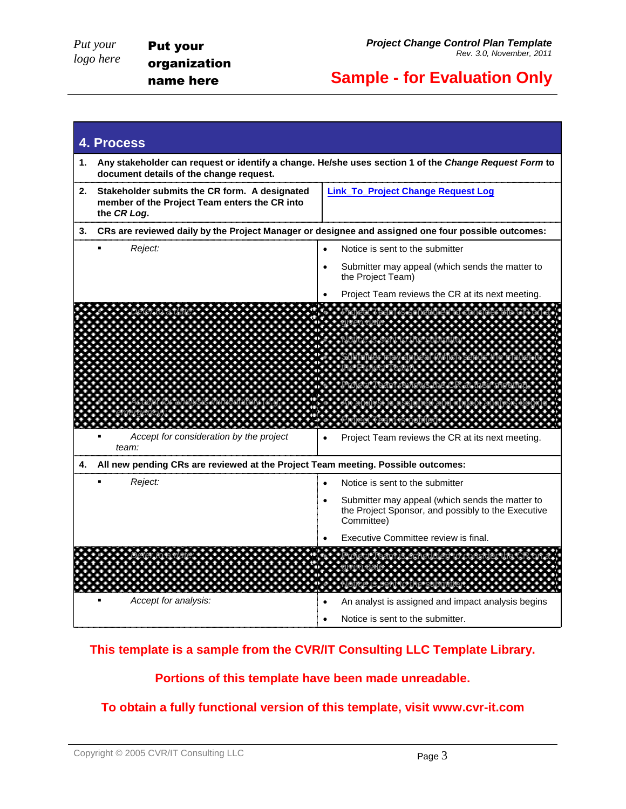*Put your logo here* Put your organization name here

## **Sample - for Evaluation Only**

|    | 4. Process                                                                                                                                       |                                                                                                                     |  |  |  |  |
|----|--------------------------------------------------------------------------------------------------------------------------------------------------|---------------------------------------------------------------------------------------------------------------------|--|--|--|--|
| 1. | Any stakeholder can request or identify a change. He/she uses section 1 of the Change Request Form to<br>document details of the change request. |                                                                                                                     |  |  |  |  |
| 2. | Stakeholder submits the CR form. A designated<br>member of the Project Team enters the CR into<br>the CR Log.                                    | <b>Link_To_Project Change Request Log</b>                                                                           |  |  |  |  |
| З. | CRs are reviewed daily by the Project Manager or designee and assigned one four possible outcomes:                                               |                                                                                                                     |  |  |  |  |
|    | Reject:                                                                                                                                          | Notice is sent to the submitter                                                                                     |  |  |  |  |
|    |                                                                                                                                                  | Submitter may appeal (which sends the matter to<br>$\bullet$<br>the Project Team)                                   |  |  |  |  |
|    |                                                                                                                                                  | Project Team reviews the CR at its next meeting.                                                                    |  |  |  |  |
|    |                                                                                                                                                  | .<br>.                                                                                                              |  |  |  |  |
|    |                                                                                                                                                  |                                                                                                                     |  |  |  |  |
|    |                                                                                                                                                  |                                                                                                                     |  |  |  |  |
|    |                                                                                                                                                  |                                                                                                                     |  |  |  |  |
|    |                                                                                                                                                  | .                                                                                                                   |  |  |  |  |
|    | Accept for consideration by the project<br>team:                                                                                                 | Project Team reviews the CR at its next meeting.                                                                    |  |  |  |  |
| 4. | All new pending CRs are reviewed at the Project Team meeting. Possible outcomes:                                                                 |                                                                                                                     |  |  |  |  |
|    | Reject:                                                                                                                                          | Notice is sent to the submitter                                                                                     |  |  |  |  |
|    |                                                                                                                                                  | Submitter may appeal (which sends the matter to<br>the Project Sponsor, and possibly to the Executive<br>Committee) |  |  |  |  |
|    |                                                                                                                                                  | Executive Committee review is final.                                                                                |  |  |  |  |
|    |                                                                                                                                                  |                                                                                                                     |  |  |  |  |
|    |                                                                                                                                                  |                                                                                                                     |  |  |  |  |
|    | Accept for analysis:                                                                                                                             | An analyst is assigned and impact analysis begins                                                                   |  |  |  |  |
|    |                                                                                                                                                  | Notice is sent to the submitter.                                                                                    |  |  |  |  |

## **This template is a sample from the CVR/IT Consulting LLC Template Library.**

## **Portions of this template have been made unreadable.**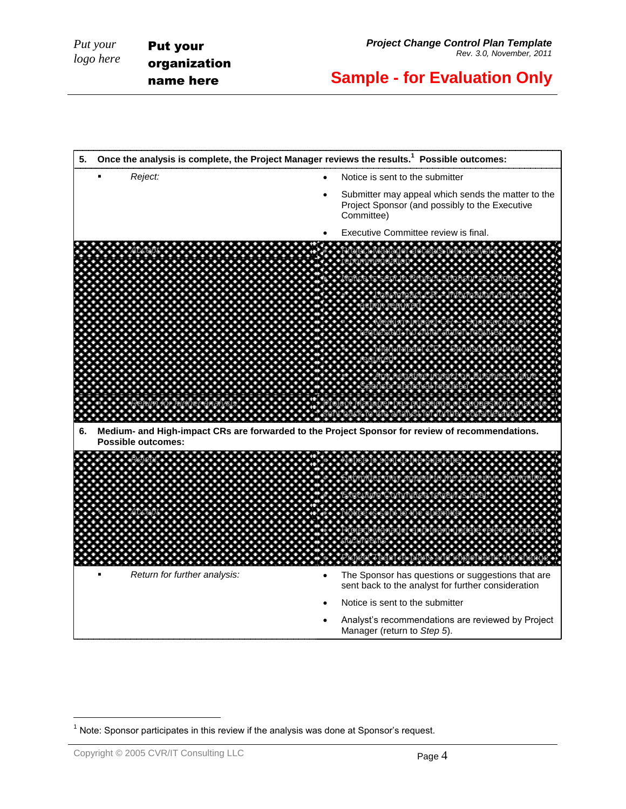

l

 $<sup>1</sup>$  Note: Sponsor participates in this review if the analysis was done at Sponsor's request.</sup>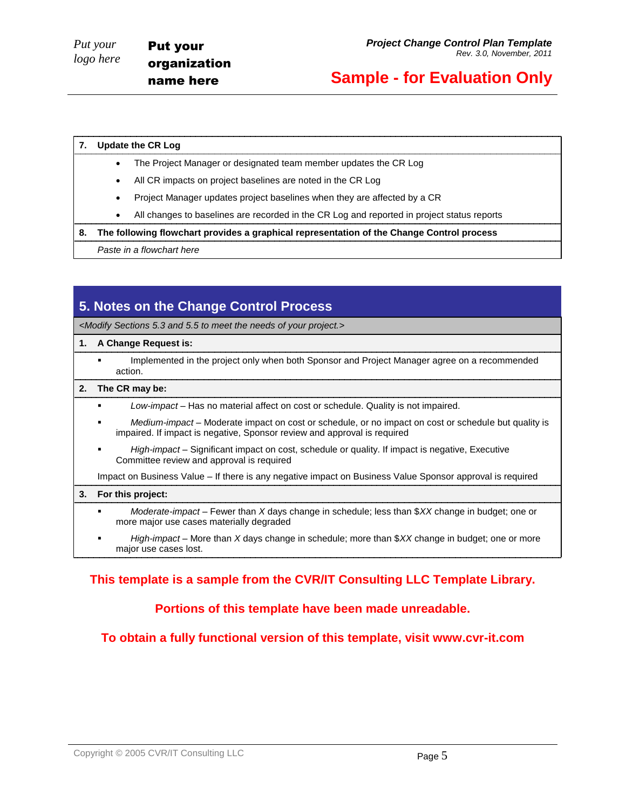#### **7. Update the CR Log**

- The Project Manager or designated team member updates the CR Log
- All CR impacts on project baselines are noted in the CR Log
- Project Manager updates project baselines when they are affected by a CR
- All changes to baselines are recorded in the CR Log and reported in project status reports

#### **8. The following flowchart provides a graphical representation of the Change Control process**

*Paste in a flowchart here*

## **5. Notes on the Change Control Process**

*<Modify Sections 5.3 and 5.5 to meet the needs of your project.>*

#### **1. A Change Request is:**

 Implemented in the project only when both Sponsor and Project Manager agree on a recommended action.

#### **2. The CR may be:**

- *Low-impact* Has no material affect on cost or schedule. Quality is not impaired.
- *Medium-impact* Moderate impact on cost or schedule, or no impact on cost or schedule but quality is impaired. If impact is negative, Sponsor review and approval is required
- *High-impact* Significant impact on cost, schedule or quality. If impact is negative, Executive Committee review and approval is required

Impact on Business Value – If there is any negative impact on Business Value Sponsor approval is required

#### **3. For this project:**

- *Moderate-impact* Fewer than *X* days change in schedule; less than \$*XX* change in budget; one or more major use cases materially degraded
- *High-impact* More than *X* days change in schedule; more than \$*XX* change in budget; one or more major use cases lost.

### **This template is a sample from the CVR/IT Consulting LLC Template Library.**

#### **Portions of this template have been made unreadable.**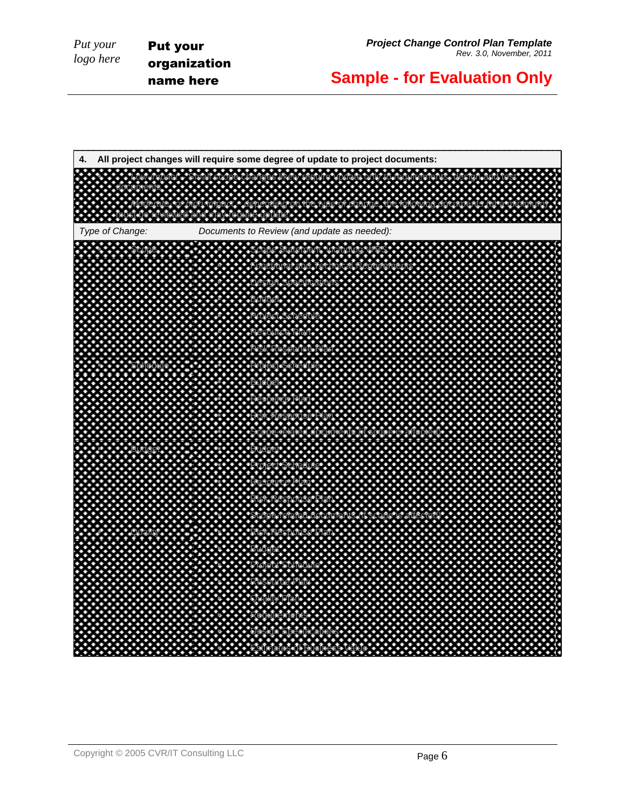Put your organization name here

**Sample - for Evaluation Only**

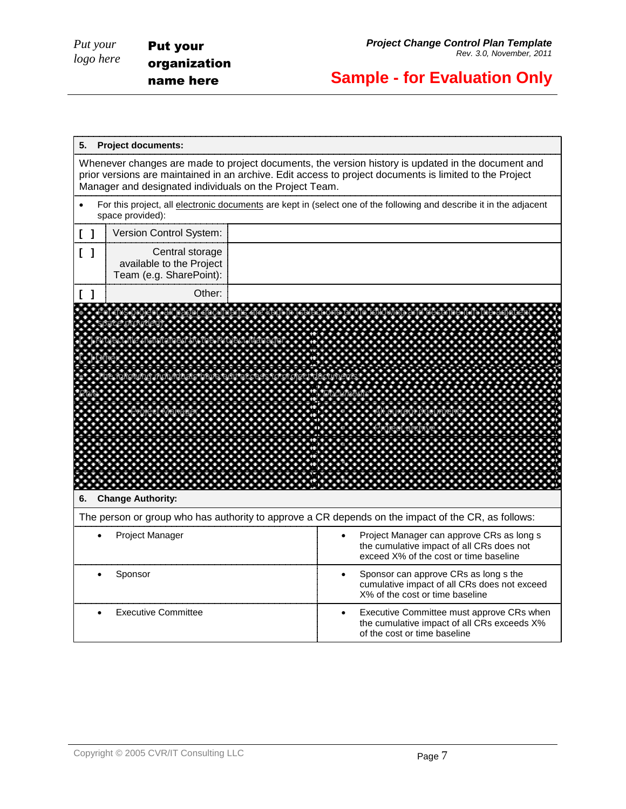*Put your logo here*

# **Sample - for Evaluation Only**

| 5.<br><b>Project documents:</b>                                                                                                                                                                                                                                          |                                                                                                                                       |  |  |  |  |
|--------------------------------------------------------------------------------------------------------------------------------------------------------------------------------------------------------------------------------------------------------------------------|---------------------------------------------------------------------------------------------------------------------------------------|--|--|--|--|
| Whenever changes are made to project documents, the version history is updated in the document and<br>prior versions are maintained in an archive. Edit access to project documents is limited to the Project<br>Manager and designated individuals on the Project Team. |                                                                                                                                       |  |  |  |  |
| For this project, all electronic documents are kept in (select one of the following and describe it in the adjacent<br>space provided):                                                                                                                                  |                                                                                                                                       |  |  |  |  |
| Version Control System:<br>$\begin{bmatrix} 1 \end{bmatrix}$                                                                                                                                                                                                             |                                                                                                                                       |  |  |  |  |
| $\begin{bmatrix} 1 \end{bmatrix}$<br>Central storage<br>available to the Project<br>Team (e.g. SharePoint):                                                                                                                                                              |                                                                                                                                       |  |  |  |  |
| Other:                                                                                                                                                                                                                                                                   |                                                                                                                                       |  |  |  |  |
| <b>Change Authority:</b><br>6.                                                                                                                                                                                                                                           |                                                                                                                                       |  |  |  |  |
| The person or group who has authority to approve a CR depends on the impact of the CR, as follows:                                                                                                                                                                       |                                                                                                                                       |  |  |  |  |
| Project Manager                                                                                                                                                                                                                                                          | Project Manager can approve CRs as long s<br>the cumulative impact of all CRs does not<br>exceed X% of the cost or time baseline      |  |  |  |  |
| Sponsor                                                                                                                                                                                                                                                                  | Sponsor can approve CRs as long s the<br>cumulative impact of all CRs does not exceed<br>X% of the cost or time baseline              |  |  |  |  |
| <b>Executive Committee</b>                                                                                                                                                                                                                                               | Executive Committee must approve CRs when<br>$\bullet$<br>the cumulative impact of all CRs exceeds X%<br>of the cost or time baseline |  |  |  |  |